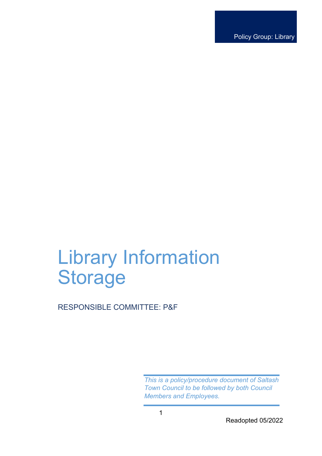Policy Group: Library

# Library Information **Storage**

RESPONSIBLE COMMITTEE: P&F

*This is a policy/procedure document of Saltash Town Council to be followed by both Council Members and Employees.* 

Readopted 05/2022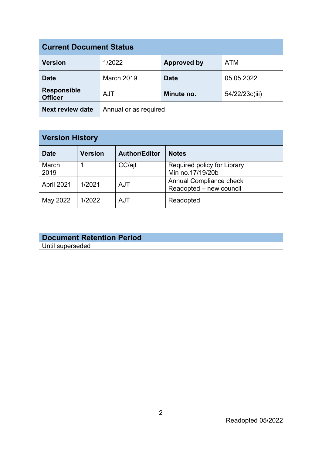| <b>Current Document Status</b>       |                       |                    |                |  |
|--------------------------------------|-----------------------|--------------------|----------------|--|
| <b>Version</b>                       | 1/2022                | <b>Approved by</b> | <b>ATM</b>     |  |
| <b>Date</b>                          | <b>March 2019</b>     | <b>Date</b>        | 05.05.2022     |  |
| <b>Responsible</b><br><b>Officer</b> | <b>AJT</b>            | Minute no.         | 54/22/23c(iii) |  |
| <b>Next review date</b>              | Annual or as required |                    |                |  |

| <b>Version History</b> |                |                      |                                                           |  |
|------------------------|----------------|----------------------|-----------------------------------------------------------|--|
| <b>Date</b>            | <b>Version</b> | <b>Author/Editor</b> | <b>Notes</b>                                              |  |
| March<br>2019          |                | CC/ajt               | Required policy for Library<br>Min no.17/19/20b           |  |
| April 2021             | 1/2021         | <b>AJT</b>           | <b>Annual Compliance check</b><br>Readopted - new council |  |
| May 2022               | 1/2022         | <b>AJT</b>           | Readopted                                                 |  |

| <b>Document Retention Period</b> |
|----------------------------------|
| Until superseded                 |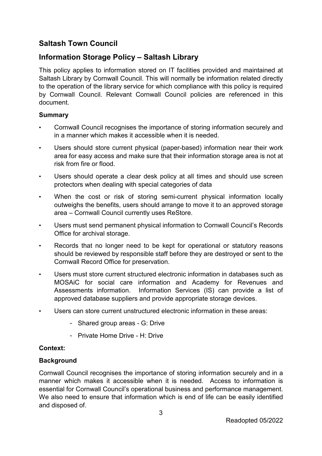# **Saltash Town Council**

# **Information Storage Policy – Saltash Library**

This policy applies to information stored on IT facilities provided and maintained at Saltash Library by Cornwall Council. This will normally be information related directly to the operation of the library service for which compliance with this policy is required by Cornwall Council. Relevant Cornwall Council policies are referenced in this document.

### **Summary**

- Cornwall Council recognises the importance of storing information securely and in a manner which makes it accessible when it is needed.
- Users should store current physical (paper-based) information near their work area for easy access and make sure that their information storage area is not at risk from fire or flood.
- Users should operate a clear desk policy at all times and should use screen protectors when dealing with special categories of data
- When the cost or risk of storing semi-current physical information locally outweighs the benefits, users should arrange to move it to an approved storage area – Cornwall Council currently uses ReStore.
- Users must send permanent physical information to Cornwall Council's Records Office for archival storage.
- Records that no longer need to be kept for operational or statutory reasons should be reviewed by responsible staff before they are destroyed or sent to the Cornwall Record Office for preservation.
- Users must store current structured electronic information in databases such as MOSAiC for social care information and Academy for Revenues and Assessments information. Information Services (IS) can provide a list of approved database suppliers and provide appropriate storage devices.
- Users can store current unstructured electronic information in these areas:
	- Shared group areas G: Drive
	- Private Home Drive H: Drive

# **Context:**

# **Background**

Cornwall Council recognises the importance of storing information securely and in a manner which makes it accessible when it is needed. Access to information is essential for Cornwall Council's operational business and performance management. We also need to ensure that information which is end of life can be easily identified and disposed of.

3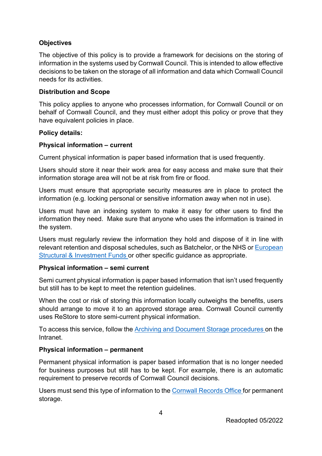# **Objectives**

The objective of this policy is to provide a framework for decisions on the storing of information in the systems used by Cornwall Council. This is intended to allow effective decisions to be taken on the storage of all information and data which Cornwall Council needs for its activities.

## **Distribution and Scope**

This policy applies to anyone who processes information, for Cornwall Council or on behalf of Cornwall Council, and they must either adopt this policy or prove that they have equivalent policies in place.

### **Policy details:**

### **Physical information – current**

Current physical information is paper based information that is used frequently.

Users should store it near their work area for easy access and make sure that their information storage area will not be at risk from fire or flood.

Users must ensure that appropriate security measures are in place to protect the information (e.g. locking personal or sensitive information away when not in use).

Users must have an indexing system to make it easy for other users to find the information they need. Make sure that anyone who uses the information is trained in the system.

Users must regularly review the information they hold and dispose of it in line with relevant retention and disposal schedules, such as Batchelor, or the NHS or [European](https://www.gov.uk/guidance/previous-erdf-programmes-retaining-documents)  [Structural & Investment Funds](https://www.gov.uk/guidance/previous-erdf-programmes-retaining-documents) or other specific guidance as appropriate.

#### **Physical information – semi current**

Semi current physical information is paper based information that isn't used frequently but still has to be kept to meet the retention guidelines.

When the cost or risk of storing this information locally outweighs the benefits, users should arrange to move it to an approved storage area. Cornwall Council currently uses ReStore to store semi-current physical information.

To access this service, follow the [Archiving and Document Storage procedures](http://cornwallcouncilintranet.cc.cornwallonline.net/default.aspx?page=4658) on the **Intranet** 

# **Physical information – permanent**

Permanent physical information is paper based information that is no longer needed for business purposes but still has to be kept. For example, there is an automatic requirement to preserve records of Cornwall Council decisions.

Users must send this type of information to the [Cornwall Records Office](http://www.cornwall.gov.uk/community-and-living/records-archives-and-cornish-studies/cornwall-record-office/) for permanent storage.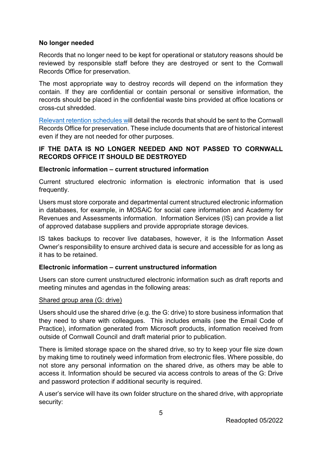### **No longer needed**

Records that no longer need to be kept for operational or statutory reasons should be reviewed by responsible staff before they are destroyed or sent to the Cornwall Records Office for preservation.

The most appropriate way to destroy records will depend on the information they contain. If they are confidential or contain personal or sensitive information, the records should be placed in the confidential waste bins provided at office locations or cross-cut shredded.

[Relevant retention schedules wi](http://cornwallcouncilintranet.cc.cornwallonline.net/need-to-know/strategies-and-policies/records-management/)ll detail the records that should be sent to the Cornwall Records Office for preservation. These include documents that are of historical interest even if they are not needed for other purposes.

# **IF THE DATA IS NO LONGER NEEDED AND NOT PASSED TO CORNWALL RECORDS OFFICE IT SHOULD BE DESTROYED**

### **Electronic information – current structured information**

Current structured electronic information is electronic information that is used frequently.

Users must store corporate and departmental current structured electronic information in databases, for example, in MOSAiC for social care information and Academy for Revenues and Assessments information. Information Services (IS) can provide a list of approved database suppliers and provide appropriate storage devices.

IS takes backups to recover live databases, however, it is the Information Asset Owner's responsibility to ensure archived data is secure and accessible for as long as it has to be retained.

# **Electronic information – current unstructured information**

Users can store current unstructured electronic information such as draft reports and meeting minutes and agendas in the following areas:

#### Shared group area (G: drive)

Users should use the shared drive (e.g. the G: drive) to store business information that they need to share with colleagues. This includes emails (see the Email Code of Practice), information generated from Microsoft products, information received from outside of Cornwall Council and draft material prior to publication.

There is limited storage space on the shared drive, so try to keep your file size down by making time to routinely weed information from electronic files. Where possible, do not store any personal information on the shared drive, as others may be able to access it. Information should be secured via access controls to areas of the G: Drive and password protection if additional security is required.

A user's service will have its own folder structure on the shared drive, with appropriate security: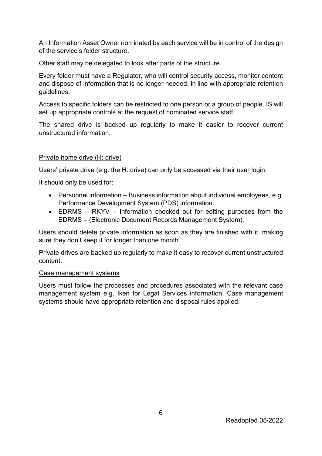An Information Asset Owner nominated by each service will be in control of the design of the service's folder structure.

Other staff may be delegated to look after parts of the structure.

Every folder must have a Regulator, who will control security access, monitor content and dispose of information that is no longer needed, in line with appropriate retention guidelines.

Access to specific folders can be restricted to one person or a group of people. IS will set up appropriate controls at the request of nominated service staff.

The shared drive is backed up regularly to make it easier to recover current unstructured information.

#### Private home drive (H: drive)

Users' private drive (e.g. the H: drive) can only be accessed via their user login.

It should only be used for:

- Personnel information Business information about individual employees, e.g. Performance Development System (PDS) information.
- EDRMS RKYV Information checked out for editing purposes from the EDRMS – (Electronic Document Records Management System).

Users should delete private information as soon as they are finished with it, making sure they don't keep it for longer than one month.

Private drives are backed up regularly to make it easy to recover current unstructured content.

#### Case management systems

Users must follow the processes and procedures associated with the relevant case management system e.g. Iken for Legal Services information. Case management systems should have appropriate retention and disposal rules applied.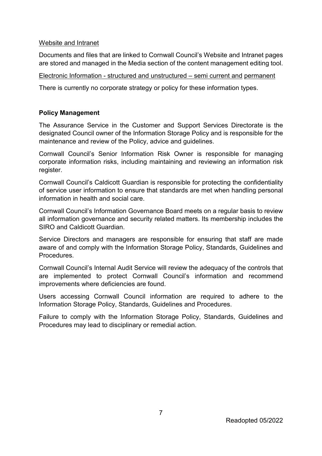#### Website and Intranet

Documents and files that are linked to Cornwall Council's Website and Intranet pages are stored and managed in the Media section of the content management editing tool.

### Electronic Information - structured and unstructured – semi current and permanent

There is currently no corporate strategy or policy for these information types.

### **Policy Management**

The Assurance Service in the Customer and Support Services Directorate is the designated Council owner of the Information Storage Policy and is responsible for the maintenance and review of the Policy, advice and guidelines.

Cornwall Council's Senior Information Risk Owner is responsible for managing corporate information risks, including maintaining and reviewing an information risk register.

Cornwall Council's Caldicott Guardian is responsible for protecting the confidentiality of service user information to ensure that standards are met when handling personal information in health and social care.

Cornwall Council's Information Governance Board meets on a regular basis to review all information governance and security related matters. Its membership includes the SIRO and Caldicott Guardian.

Service Directors and managers are responsible for ensuring that staff are made aware of and comply with the Information Storage Policy, Standards, Guidelines and **Procedures** 

Cornwall Council's Internal Audit Service will review the adequacy of the controls that are implemented to protect Cornwall Council's information and recommend improvements where deficiencies are found.

Users accessing Cornwall Council information are required to adhere to the Information Storage Policy, Standards, Guidelines and Procedures.

Failure to comply with the Information Storage Policy, Standards, Guidelines and Procedures may lead to disciplinary or remedial action.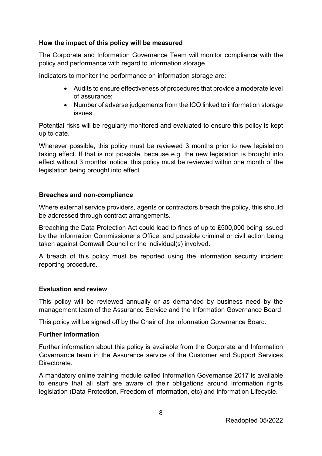## **How the impact of this policy will be measured**

The Corporate and Information Governance Team will monitor compliance with the policy and performance with regard to information storage.

Indicators to monitor the performance on information storage are:

- Audits to ensure effectiveness of procedures that provide a moderate level of assurance;
- Number of adverse judgements from the ICO linked to information storage issues.

Potential risks will be regularly monitored and evaluated to ensure this policy is kept up to date.

Wherever possible, this policy must be reviewed 3 months prior to new legislation taking effect. If that is not possible, because e.g. the new legislation is brought into effect without 3 months' notice, this policy must be reviewed within one month of the legislation being brought into effect.

#### **Breaches and non-compliance**

Where external service providers, agents or contractors breach the policy, this should be addressed through contract arrangements.

Breaching the Data Protection Act could lead to fines of up to £500,000 being issued by the Information Commissioner's Office, and possible criminal or civil action being taken against Cornwall Council or the individual(s) involved.

A breach of this policy must be reported using the information [security](http://cornwallcouncilintranet.cc.cornwallonline.net/default.aspx?page=2824) [incident](http://cornwallcouncilintranet.cc.cornwallonline.net/default.aspx?page=2824)  [reporting procedure.](http://cornwallcouncilintranet.cc.cornwallonline.net/default.aspx?page=2824)

#### **Evaluation and review**

This policy will be reviewed annually or as demanded by business need by the management team of the Assurance Service and the Information Governance Board.

This policy will be signed off by the Chair of the Information Governance Board.

#### **Further information**

Further information about this policy is available from the Corporate and Information Governance team in the Assurance service of the Customer and Support Services Directorate.

A mandatory online training module called Information Governance 2017 is available to ensure that all staff are aware of their obligations around information rights legislation (Data Protection, Freedom of Information, etc) and Information Lifecycle.